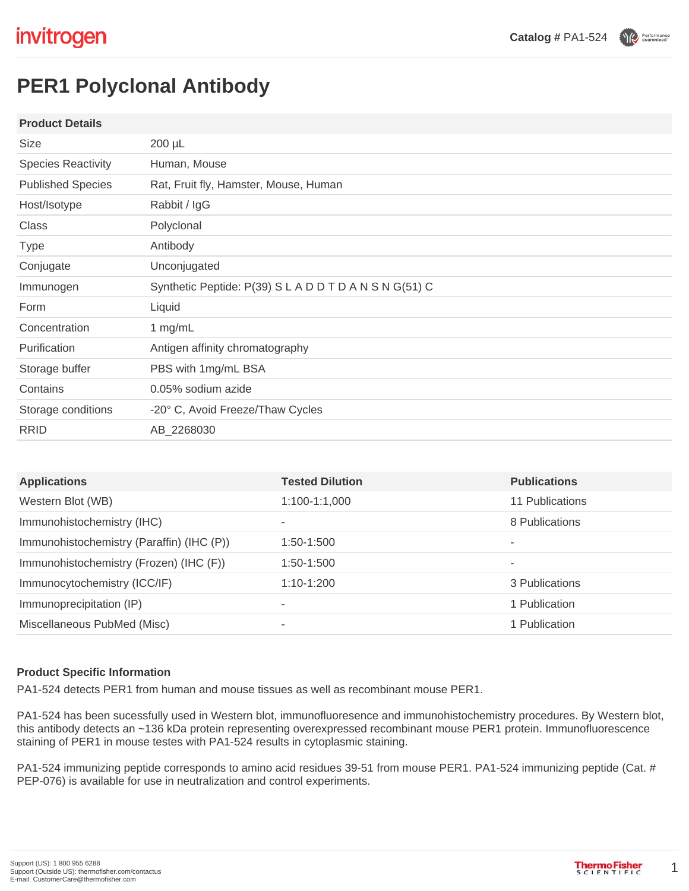Performance

# **PER1 Polyclonal Antibody**

#### **Product Details**

| <b>Size</b>               | 200 µL                                                 |
|---------------------------|--------------------------------------------------------|
| <b>Species Reactivity</b> | Human, Mouse                                           |
| <b>Published Species</b>  | Rat, Fruit fly, Hamster, Mouse, Human                  |
| Host/Isotype              | Rabbit / IgG                                           |
| Class                     | Polyclonal                                             |
| <b>Type</b>               | Antibody                                               |
| Conjugate                 | Unconjugated                                           |
| Immunogen                 | Synthetic Peptide: P(39) S L A D D T D A N S N G(51) C |
| Form                      | Liquid                                                 |
| Concentration             | 1 mg/mL                                                |
| Purification              | Antigen affinity chromatography                        |
| Storage buffer            | PBS with 1mg/mL BSA                                    |
| Contains                  | 0.05% sodium azide                                     |
| Storage conditions        | -20° C, Avoid Freeze/Thaw Cycles                       |
| <b>RRID</b>               | AB_2268030                                             |

| <b>Applications</b>                       | <b>Tested Dilution</b> | <b>Publications</b> |
|-------------------------------------------|------------------------|---------------------|
| Western Blot (WB)                         | $1:100-1:1,000$        | 11 Publications     |
| Immunohistochemistry (IHC)                | ۰                      | 8 Publications      |
| Immunohistochemistry (Paraffin) (IHC (P)) | $1:50-1:500$           |                     |
| Immunohistochemistry (Frozen) (IHC (F))   | 1:50-1:500             | ۰                   |
| Immunocytochemistry (ICC/IF)              | $1:10-1:200$           | 3 Publications      |
| Immunoprecipitation (IP)                  | ۰                      | 1 Publication       |
| Miscellaneous PubMed (Misc)               | ۰                      | 1 Publication       |

#### **Product Specific Information**

PA1-524 detects PER1 from human and mouse tissues as well as recombinant mouse PER1.

PA1-524 has been sucessfully used in Western blot, immunofluoresence and immunohistochemistry procedures. By Western blot, this antibody detects an ~136 kDa protein representing overexpressed recombinant mouse PER1 protein. Immunofluorescence staining of PER1 in mouse testes with PA1-524 results in cytoplasmic staining.

PA1-524 immunizing peptide corresponds to amino acid residues 39-51 from mouse PER1. PA1-524 immunizing peptide (Cat. # PEP-076) is available for use in neutralization and control experiments.

1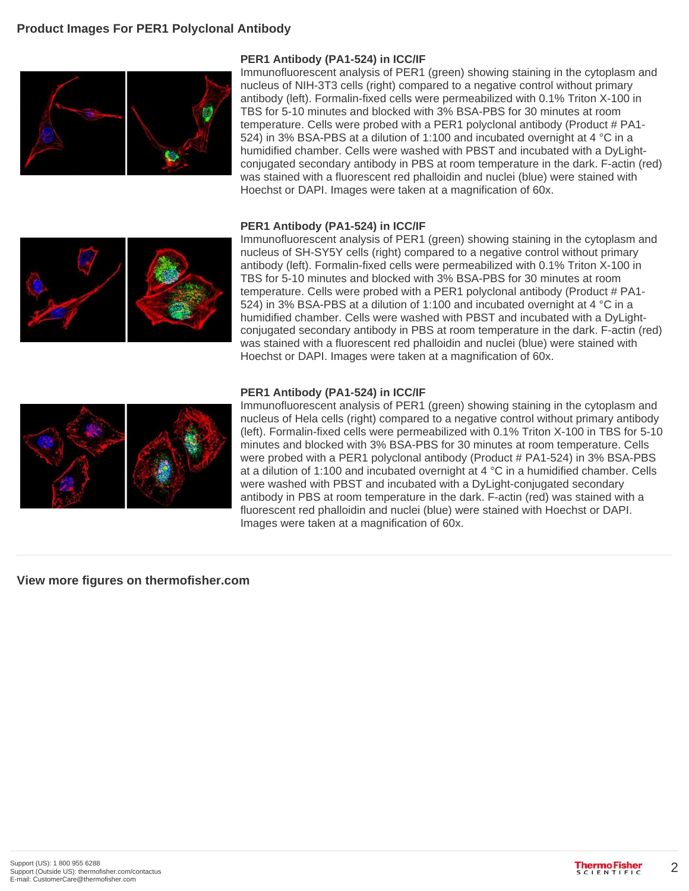

### **PER1 Antibody (PA1-524) in ICC/IF**

Immunofluorescent analysis of PER1 (green) showing staining in the cytoplasm and nucleus of NIH-3T3 cells (right) compared to a negative control without primary antibody (left). Formalin-fixed cells were permeabilized with 0.1% Triton X-100 in TBS for 5-10 minutes and blocked with 3% BSA-PBS for 30 minutes at room temperature. Cells were probed with a PER1 polyclonal antibody (Product # PA1- 524) in 3% BSA-PBS at a dilution of 1:100 and incubated overnight at 4 °C in a humidified chamber. Cells were washed with PBST and incubated with a DyLightconjugated secondary antibody in PBS at room temperature in the dark. F-actin (red) was stained with a fluorescent red phalloidin and nuclei (blue) were stained with Hoechst or DAPI. Images were taken at a magnification of 60x.

#### **PER1 Antibody (PA1-524) in ICC/IF**



Immunofluorescent analysis of PER1 (green) showing staining in the cytoplasm and nucleus of SH-SY5Y cells (right) compared to a negative control without primary antibody (left). Formalin-fixed cells were permeabilized with 0.1% Triton X-100 in TBS for 5-10 minutes and blocked with 3% BSA-PBS for 30 minutes at room temperature. Cells were probed with a PER1 polyclonal antibody (Product # PA1-524) in 3% BSA-PBS at a dilution of 1:100 and incubated overnight at 4 °C in a humidified chamber. Cells were washed with PBST and incubated with a DyLightconjugated secondary antibody in PBS at room temperature in the dark. F-actin (red) was stained with a fluorescent red phalloidin and nuclei (blue) were stained with Hoechst or DAPI. Images were taken at a magnification of 60x.

#### **PER1 Antibody (PA1-524) in ICC/IF**



Immunofluorescent analysis of PER1 (green) showing staining in the cytoplasm and nucleus of Hela cells (right) compared to a negative control without primary antibody (left). Formalin-fixed cells were permeabilized with 0.1% Triton X-100 in TBS for 5-10 minutes and blocked with 3% BSA-PBS for 30 minutes at room temperature. Cells were probed with a PER1 polyclonal antibody (Product # PA1-524) in 3% BSA-PBS at a dilution of 1:100 and incubated overnight at 4 °C in a humidified chamber. Cells were washed with PBST and incubated with a DyLight-conjugated secondary antibody in PBS at room temperature in the dark. F-actin (red) was stained with a fluorescent red phalloidin and nuclei (blue) were stained with Hoechst or DAPI. Images were taken at a magnification of 60x.

#### **View more figures on thermofisher.com**

2